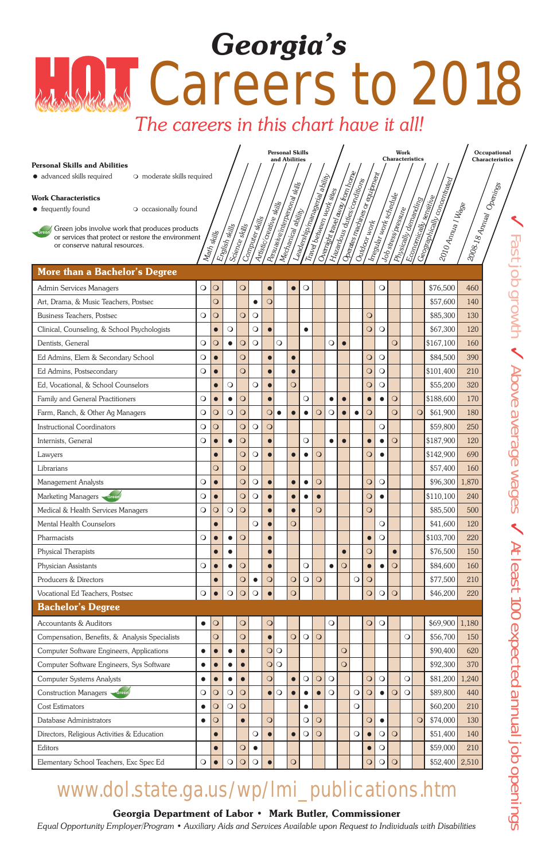✓ Fast job growth ✓ Above average wages ✓

**Occupational Characteristics** 

#### Personal Skills and Abilities

#### Work Characteristics

#### Georgia Department of Labor • Mark Butler, Commissioner

*Equal Opportunity Employer/Program • Auxiliary Aids and Services Available upon Request to Individuals with Disabilities*

Work **Characteristics** 

Personal Skills and Abilities

# Careers to 2018 *Georgia's*

### *The careers in this chart have it all!*

## www.dol.state.ga.us/wp/lmi\_publications.htm

| · advanced skills required<br>O moderate skills required                                              |            |                       |                |                |                 |                          |                                |                    | Leadership/mamagerial ability |                           |            | Overnight travel away from home<br>Hazardous duties conditions | Operates machines or equipment |                |                         |                     |            |                      | Geographically concentrated                                                             |                         |
|-------------------------------------------------------------------------------------------------------|------------|-----------------------|----------------|----------------|-----------------|--------------------------|--------------------------------|--------------------|-------------------------------|---------------------------|------------|----------------------------------------------------------------|--------------------------------|----------------|-------------------------|---------------------|------------|----------------------|-----------------------------------------------------------------------------------------|-------------------------|
| <b>Work Characteristics</b>                                                                           |            |                       |                |                |                 |                          |                                |                    |                               |                           |            |                                                                |                                |                |                         |                     |            |                      |                                                                                         |                         |
| O occasionally found<br>• frequently found                                                            |            |                       |                |                |                 |                          |                                |                    |                               |                           |            |                                                                |                                |                |                         |                     |            |                      |                                                                                         |                         |
|                                                                                                       |            |                       |                |                | Computer skills | Artistic creative skills | Pesuasive interpersonal skills | Mechanical ability |                               | Travel between work sites |            |                                                                |                                |                | Irregular work schedule | Job stress/pressure |            | Physically demanding | Economically sensitive<br>$120I0A_{\eta\eta_{V\!R}I}$ IV $_{\theta\!\zeta\!\varrho\!e}$ | 2008-18 Annual Openings |
| Green jobs involve work that produces products<br>or services that protect or restore the environment |            | Math skills           | English skills | Science skills |                 |                          |                                |                    |                               |                           |            |                                                                |                                |                |                         |                     |            |                      |                                                                                         |                         |
| or conserve natural resources.                                                                        |            |                       |                |                |                 |                          |                                |                    |                               |                           |            |                                                                |                                |                |                         |                     |            |                      |                                                                                         |                         |
|                                                                                                       |            |                       |                |                |                 |                          |                                |                    |                               |                           |            |                                                                |                                |                |                         |                     |            |                      |                                                                                         |                         |
| <b>More than a Bachelor's Degree</b>                                                                  |            |                       |                |                |                 |                          |                                |                    |                               |                           |            |                                                                |                                |                |                         |                     |            |                      |                                                                                         |                         |
| <b>Admin Services Managers</b>                                                                        | $\bigcirc$ | $\overline{O}$        |                | $\circ$        |                 |                          |                                | $\bullet$          | $\bigcirc$                    |                           |            |                                                                |                                |                | $\bigcirc$              |                     |            |                      | \$76,500                                                                                | 460                     |
| Art, Drama, & Music Teachers, Postsec                                                                 |            | $\overline{O}$        |                |                | $\bullet$       | $\bigcirc$               |                                |                    |                               |                           |            |                                                                |                                |                |                         |                     |            |                      | \$57,600                                                                                | 140                     |
| <b>Business Teachers, Postsec</b>                                                                     | $\bigcirc$ | $\overline{O}$        |                | $\overline{O}$ | $\bigcirc$      |                          |                                |                    |                               |                           |            |                                                                |                                | $\overline{O}$ |                         |                     |            |                      | \$85,300                                                                                | 130                     |
| Clinical, Counseling, & School Psychologists                                                          |            | $\bullet$             | $\bigcirc$     |                | $\bigcirc$      |                          |                                |                    | $\bullet$                     |                           |            |                                                                |                                | $\bigcirc$     | $\circ$                 |                     |            |                      | \$67,300                                                                                | 120                     |
| Dentists, General                                                                                     | $\bigcirc$ | $\overline{O}$        | $\bullet$      | $\circ$        | $\bigcirc$      |                          | $\bigcirc$                     |                    |                               |                           | $\bigcirc$ |                                                                |                                |                |                         | $\overline{O}$      |            |                      | \$167,100                                                                               | 160                     |
| Ed Admins, Elem & Secondary School                                                                    | $\bigcirc$ | $\bullet$             |                | $\overline{O}$ |                 |                          |                                | $\bullet$          |                               |                           |            |                                                                |                                | $\overline{O}$ | $\bigcirc$              |                     |            |                      | \$84,500                                                                                | 390                     |
| Ed Admins, Postsecondary                                                                              | $\bigcirc$ | $\bullet$             |                | $\overline{O}$ |                 |                          |                                | $\bullet$          |                               |                           |            |                                                                |                                | $\circ$        | $\bigcirc$              |                     |            |                      | \$101,400                                                                               | 210                     |
| Ed, Vocational, & School Counselors                                                                   |            | $\bullet$             | $\bigcirc$     |                | $\bigcirc$      |                          |                                | $\overline{O}$     |                               |                           |            |                                                                |                                | $\overline{O}$ | $\bigcirc$              |                     |            |                      | \$55,200                                                                                | 320                     |
| Family and General Practitioners                                                                      | $\bigcirc$ | $\bullet$             | $\bullet$      | $\circ$        |                 |                          |                                |                    | $\bigcirc$                    |                           | $\bullet$  | $\bullet$                                                      |                                | $\bullet$      | $\bullet$               | $\circ$             |            |                      | \$188,600                                                                               | 170                     |
| Farm, Ranch, & Other Ag Managers                                                                      | $\bigcirc$ | $\overline{O}$        | $\circ$        | $\bigcirc$     |                 | $\overline{O}$           | $\bullet$                      |                    | $\bullet$                     | $\circ$                   | $\circ$    |                                                                | $\bullet$                      | $\overline{O}$ |                         | $\overline{O}$      |            | $\circ$              | \$61,900                                                                                | 180                     |
| <b>Instructional Coordinators</b>                                                                     | $\bigcirc$ | $\overline{O}$        |                | $\overline{O}$ | $\circ$         | $\mathsf{O}$             |                                |                    |                               |                           |            |                                                                |                                |                | $\bigcirc$              |                     |            |                      | \$59,800                                                                                | 250                     |
| Internists, General                                                                                   | $\bigcirc$ |                       | $\bullet$      | $\overline{O}$ |                 |                          |                                |                    | $\bigcirc$                    |                           | $\bullet$  |                                                                |                                | $\bullet$      | $\bullet$               | $\circ$             |            |                      | \$187,900                                                                               | 120                     |
| Lawyers                                                                                               |            | $\bullet$             |                | $\overline{O}$ | $\bigcirc$      |                          |                                | $\bullet$          | $\bullet$                     | $\circ$                   |            |                                                                |                                | $\overline{O}$ | $\bullet$               |                     |            |                      | \$142,900                                                                               | 690                     |
| Librarians                                                                                            |            | $\mathbf{\mathsf{O}}$ |                | $\bigcirc$     |                 |                          |                                |                    |                               |                           |            |                                                                |                                |                |                         |                     |            |                      | \$57,400                                                                                | 160                     |
| Management Analysts                                                                                   | $\bigcirc$ | $\bullet$             |                | $\overline{O}$ | $\bigcirc$      |                          |                                | $\bullet$          | $\bullet$                     | $\circ$                   |            |                                                                |                                | $\circ$        | $\bigcirc$              |                     |            |                      | \$96,300 1,870                                                                          |                         |
| Marketing Managers Green                                                                              | $\bigcirc$ | $\bullet$             |                | $\overline{O}$ | $\circ$         |                          |                                | $\bullet$          | $\bullet$                     | $\bullet$                 |            |                                                                |                                | $\overline{O}$ | $\bullet$               |                     |            |                      | \$110,100                                                                               | 240                     |
| Medical & Health Services Managers                                                                    | $\bigcirc$ | $\overline{O}$        | $\bigcirc$     | $\circ$        |                 |                          |                                | $\bullet$          |                               | $\overline{O}$            |            |                                                                |                                | $\overline{O}$ |                         |                     |            |                      | \$85,500                                                                                | 500                     |
| <b>Mental Health Counselors</b>                                                                       |            | $\bullet$             |                |                | $\circ$         |                          |                                | $\overline{O}$     |                               |                           |            |                                                                |                                |                | $\bigcirc$              |                     |            |                      | \$41,600                                                                                | 120                     |
| Pharmacists                                                                                           | $\bigcirc$ |                       |                | $\circ$        |                 |                          |                                |                    |                               |                           |            |                                                                |                                | $\bullet$      | $\circ$                 |                     |            |                      | \$103,700                                                                               | 220                     |
| <b>Physical Therapists</b>                                                                            |            | $\bullet$             | $\bullet$      |                |                 |                          |                                |                    |                               |                           |            | $\bullet$                                                      |                                | $\circ$        |                         | $\bullet$           |            |                      | \$76,500                                                                                | 150                     |
| Physician Assistants                                                                                  | $\bigcirc$ | $\bullet$             | $\bullet$      | $\circ$        |                 |                          |                                |                    | $\bigcirc$                    |                           | $\bullet$  | $\circ$                                                        |                                | $\bullet$      | $\bullet$               | $\circ$             |            |                      | \$84,600                                                                                | 160                     |
| Producers & Directors                                                                                 |            | $\bullet$             |                | $\overline{O}$ | $\bullet$       | $\mathsf{O}$             |                                | $\overline{O}$     | $\bigcirc$                    | $\circ$                   |            |                                                                | $\bigcirc$                     | $\circ$        |                         |                     |            |                      | \$77,500                                                                                | 210                     |
| Vocational Ed Teachers, Postsec                                                                       | $\bigcirc$ | $\bullet$             | $\bigcirc$     | $\circ$        | $\bigcirc$      |                          |                                | $\bigcirc$         |                               |                           |            |                                                                |                                | $\bigcirc$     | $\bigcirc$              | $\circ$             |            |                      | \$46,200                                                                                | 220                     |
| <b>Bachelor's Degree</b>                                                                              |            |                       |                |                |                 |                          |                                |                    |                               |                           |            |                                                                |                                |                |                         |                     |            |                      |                                                                                         |                         |
| <b>Accountants &amp; Auditors</b>                                                                     | $\bullet$  | $\bigcirc$            |                | $\circ$        |                 | $\circ$                  |                                |                    |                               |                           | $\bigcirc$ |                                                                |                                | $\circ$        | $\bigcirc$              |                     |            |                      | \$69,900                                                                                | 1,180                   |
| Compensation, Benefits, & Analysis Specialists                                                        |            | $\overline{O}$        |                | $\overline{O}$ |                 |                          |                                | $\overline{O}$     | $\circ$                       | $\circ$                   |            |                                                                |                                |                |                         |                     | $\bigcirc$ |                      | \$56,700                                                                                | 150                     |
| Computer Software Engineers, Applications                                                             | $\bullet$  |                       | $\bullet$      |                |                 | $\overline{O}$           | $\bigcirc$                     |                    |                               |                           |            | $\overline{O}$                                                 |                                |                |                         |                     |            |                      | \$90,400                                                                                | 620                     |
| Computer Software Engineers, Sys Software                                                             | $\bullet$  |                       | $\bullet$      |                |                 | $\circ$                  | $\bigcirc$                     |                    |                               |                           |            | $\circ$                                                        |                                |                |                         |                     |            |                      | \$92,300                                                                                | 370                     |
| <b>Computer Systems Analysts</b>                                                                      | $\bullet$  | $\bullet$             | $\bullet$      |                |                 | $\overline{O}$           |                                | $\bullet$          | $\bigcirc$                    | $\overline{O}$            | $\circ$    |                                                                |                                | $\overline{O}$ | $\circ$                 |                     | $\bigcirc$ |                      | \$81,200                                                                                | 1,240                   |
| Construction Managers Green                                                                           | $\bigcirc$ | $\overline{O}$        | $\bigcirc$     | $\circ$        |                 |                          | $\bigcirc$                     |                    | $\bullet$                     |                           | $\bigcirc$ |                                                                | $\bigcirc$                     | $\circ$        | $\bullet$               | $\circ$             | $\bigcirc$ |                      | \$89,800                                                                                | 440                     |
| <b>Cost Estimators</b>                                                                                | $\bullet$  | $\bigcirc$            | $\bigcirc$     | $\circ$        |                 |                          |                                |                    | $\bullet$                     |                           |            |                                                                | $\bigcirc$                     |                |                         |                     |            |                      | \$60,200                                                                                | 210                     |
| Database Administrators                                                                               | $\bullet$  | $\overline{O}$        |                | $\bullet$      |                 | $\overline{O}$           |                                |                    | $\bigcirc$                    | $\overline{O}$            |            |                                                                |                                | $\overline{O}$ | $\bullet$               |                     |            | $\overline{O}$       | \$74,000                                                                                | 130                     |
| Directors, Religious Activities & Education                                                           |            | $\bullet$             |                |                | $\circ$         |                          |                                | $\bullet$          | $\bigcirc$                    | $\circ$                   |            |                                                                | $\bigcirc$                     | $\bullet$      | $\bigcirc$              | $\circ$             |            |                      | \$51,400                                                                                | 140                     |
| Editors                                                                                               |            | $\bullet$             |                | $\overline{O}$ | $\bullet$       |                          |                                |                    |                               |                           |            |                                                                |                                | $\bullet$      | $\bigcirc$              |                     |            |                      | \$59,000                                                                                | 210                     |
| Elementary School Teachers, Exc Spec Ed                                                               | $\bigcirc$ | $\bullet$             | $\bigcirc$     | $\circ$        | $\bigcirc$      |                          |                                | $\overline{O}$     |                               |                           |            |                                                                |                                | $\circ$        | $\circ$                 | $\Omega$            |            |                      | \$52,400 2,510                                                                          |                         |
|                                                                                                       |            |                       |                |                |                 |                          |                                |                    |                               |                           |            |                                                                |                                |                |                         |                     |            |                      |                                                                                         |                         |